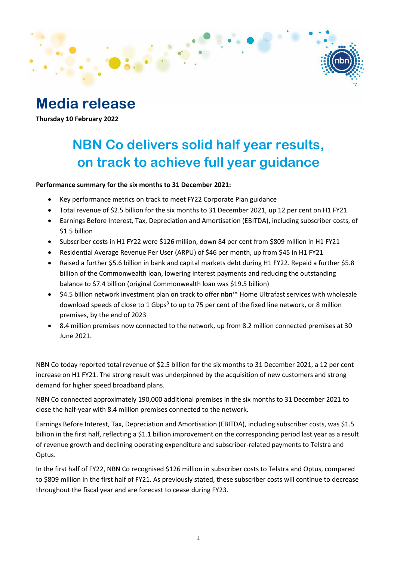# **Media release**

**Thursday 10 February 2022**

# **NBN Co delivers solid half year results, on track to achieve full year guidance**

### **Performance summary for the six months to 31 December 2021:**

- Key performance metrics on track to meet FY22 Corporate Plan guidance
- Total revenue of \$2.5 billion for the six months to 31 December 2021, up 12 per cent on H1 FY21
- Earnings Before Interest, Tax, Depreciation and Amortisation (EBITDA), including subscriber costs, of \$1.5 billion
- Subscriber costs in H1 FY22 were \$126 million, down 84 per cent from \$809 million in H1 FY21
- Residential Average Revenue Per User (ARPU) of \$46 per month, up from \$45 in H1 FY21
- Raised a further \$5.6 billion in bank and capital markets debt during H1 FY22. Repaid a further \$5.8 billion of the Commonwealth loan, lowering interest payments and reducing the outstanding balance to \$7.4 billion (original Commonwealth loan was \$19.5 billion)
- \$4.5 billion network investment plan on track to offer **nbn**™ Home Ultrafast services with wholesale download speeds of close to 1 Gbps<sup>3</sup> to up to 75 per cent of the fixed line network, or 8 million premises, by the end of 2023
- 8.4 million premises now connected to the network, up from 8.2 million connected premises at 30 June 2021.

NBN Co today reported total revenue of \$2.5 billion for the six months to 31 December 2021, a 12 per cent increase on H1 FY21. The strong result was underpinned by the acquisition of new customers and strong demand for higher speed broadband plans.

NBN Co connected approximately 190,000 additional premises in the six months to 31 December 2021 to close the half-year with 8.4 million premises connected to the network.

Earnings Before Interest, Tax, Depreciation and Amortisation (EBITDA), including subscriber costs, was \$1.5 billion in the first half, reflecting a \$1.1 billion improvement on the corresponding period last year as a result of revenue growth and declining operating expenditure and subscriber-related payments to Telstra and Optus.

In the first half of FY22, NBN Co recognised \$126 million in subscriber costs to Telstra and Optus, compared to \$809 million in the first half of FY21. As previously stated, these subscriber costs will continue to decrease throughout the fiscal year and are forecast to cease during FY23.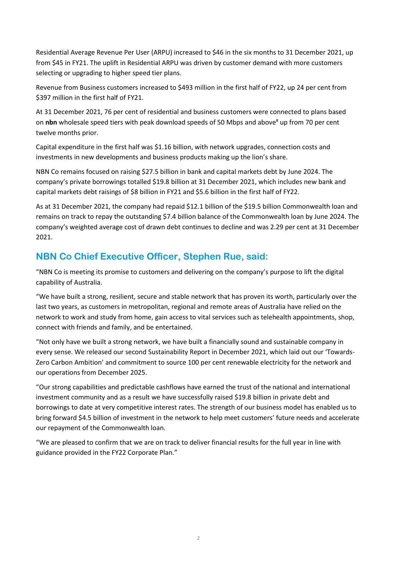Residential Average Revenue Per User (ARPU) increased to \$46 in the six months to 31 December 2021, up from \$45 in FY21. The uplift in Residential ARPU was driven by customer demand with more customers selecting or upgrading to higher speed tier plans.

Revenue from Business customers increased to \$493 million in the first half of FY22, up 24 per cent from \$397 million in the first half of FY21.

At 31 December 2021, 76 per cent of residential and business customers were connected to plans based on **nbn** wholesale speed tiers with peak download speeds of 50 Mbps and above# up from 70 per cent twelve months prior.

Capital expenditure in the first half was \$1.16 billion, with network upgrades, connection costs and investments in new developments and business products making up the lion's share.

NBN Co remains focused on raising \$27.5 billion in bank and capital markets debt by June 2024. The company's private borrowings totalled \$19.8 billion at 31 December 2021, which includes new bank and capital markets debt raisings of \$8 billion in FY21 and \$5.6 billion in the first half of FY22.

As at 31 December 2021, the company had repaid \$12.1 billion of the \$19.5 billion Commonwealth loan and remains on track to repay the outstanding \$7.4 billion balance of the Commonwealth loan by June 2024. The company's weighted average cost of drawn debt continues to decline and was 2.29 per cent at 31 December 2021.

# **NBN Co Chief Executive Officer, Stephen Rue, said:**

"NBN Co is meeting its promise to customers and delivering on the company's purpose to lift the digital capability of Australia.

"We have built a strong, resilient, secure and stable network that has proven its worth, particularly over the last two years, as customers in metropolitan, regional and remote areas of Australia have relied on the network to work and study from home, gain access to vital services such as telehealth appointments, shop, connect with friends and family, and be entertained.

"Not only have we built a strong network, we have built a financially sound and sustainable company in every sense. We released our second Sustainability Report in December 2021, which laid out our 'Towards-Zero Carbon Ambition' and commitment to source 100 per cent renewable electricity for the network and our operations from December 2025.

"Our strong capabilities and predictable cashflows have earned the trust of the national and international investment community and as a result we have successfully raised \$19.8 billion in private debt and borrowings to date at very competitive interest rates. The strength of our business model has enabled us to bring forward \$4.5 billion of investment in the network to help meet customers' future needs and accelerate our repayment of the Commonwealth loan.

"We are pleased to confirm that we are on track to deliver financial results for the full year in line with guidance provided in the FY22 Corporate Plan."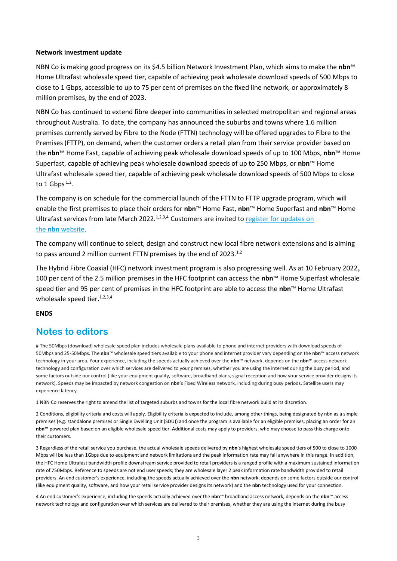#### **Network investment update**

NBN Co is making good progress on its \$4.5 billion Network Investment Plan, which aims to make the **nbn**™ Home Ultrafast wholesale speed tier, capable of achieving peak wholesale download speeds of 500 Mbps to close to 1 Gbps, accessible to up to 75 per cent of premises on the fixed line network, or approximately 8 million premises, by the end of 2023.

NBN Co has continued to extend fibre deeper into communities in selected metropolitan and regional areas throughout Australia. To date, the company has announced the suburbs and towns where 1.6 million premises currently served by Fibre to the Node (FTTN) technology will be offered upgrades to Fibre to the Premises (FTTP), on demand, when the customer orders a retail plan from their service provider based on the **nbn**™ Home Fast, capable of achieving peak wholesale download speeds of up to 100 Mbps, **nbn**™ Home Superfast, capable of achieving peak wholesale download speeds of up to 250 Mbps, or **nbn**™ Home Ultrafast wholesale speed tier, capable of achieving peak wholesale download speeds of 500 Mbps to close to 1 Gbps  $1,2$ .

The company is on schedule for the commercial launch of the FTTN to FTTP upgrade program, which will enable the first premises to place their orders for **nbn**™ Home Fast, **nbn**™ Home Superfast and **nbn**™ Home Ultrafast services from late March 2022.<sup>1,2,3,4</sup> Customers are invited to register for updates on the **nbn** [website.](https://www.nbnco.com.au/campaigns/fibre-extension-initiative)

The company will continue to select, design and construct new local fibre network extensions and is aiming to pass around 2 million current FTTN premises by the end of 2023.<sup>1,2</sup>

The Hybrid Fibre Coaxial (HFC) network investment program is also progressing well. As at 10 February 2022**,**  100 per cent of the 2.5 million premises in the HFC footprint can access the **nbn**™ Home Superfast wholesale speed tier and 95 per cent of premises in the HFC footprint are able to access the **nbn**™ Home Ultrafast wholesale speed tier. $1,2,3,4$ 

#### **ENDS**

### **Notes to editors**

# The 50Mbps (download) wholesale speed plan includes wholesale plans available to phone and internet providers with download speeds of 50Mbps and 25-50Mbps. The **nbn**™ wholesale speed tiers available to your phone and internet provider vary depending on the **nbn**™ access network technology in your area. Your experience, including the speeds actually achieved over the **nbn**™ network, depends on the **nbn**™ access network technology and configuration over which services are delivered to your premises, whether you are using the internet during the busy period, and some factors outside our control (like your equipment quality, software, broadband plans, signal reception and how your service provider designs its network). Speeds may be impacted by network congestion on **nbn**'s Fixed Wireless network, including during busy periods. Satellite users may experience latency.

1 NBN Co reserves the right to amend the list of targeted suburbs and towns for the local fibre network build at its discretion.

2 Conditions, eligibility criteria and costs will apply. Eligibility criteria is expected to include, among other things, being designated by nbn as a simple premises (e.g. standalone premises or Single Dwelling Unit (SDU)) and once the program is available for an eligible premises, placing an order for an **nbn**™ powered plan based on an eligible wholesale speed tier. Additional costs may apply to providers, who may choose to pass this charge onto their customers.

3 Regardless of the retail service you purchase, the actual wholesale speeds delivered by **nbn**'s highest wholesale speed tiers of 500 to close to 1000 Mbps will be less than 1Gbps due to equipment and network limitations and the peak information rate may fall anywhere in this range. In addition, the HFC Home Ultrafast bandwidth profile downstream service provided to retail providers is a ranged profile with a maximum sustained information rate of 750Mbps. Reference to speeds are not end user speeds; they are wholesale layer 2 peak information rate bandwidth provided to retail providers. An end customer's experience, including the speeds actually achieved over the **nbn** network, depends on some factors outside our control (like equipment quality, software, and how your retail service provider designs its network) and the **nbn** technology used for your connection.

4 An end customer's experience, including the speeds actually achieved over the **nbn**™ broadband access network, depends on the **nbn**™ access network technology and configuration over which services are delivered to their premises, whether they are using the internet during the busy